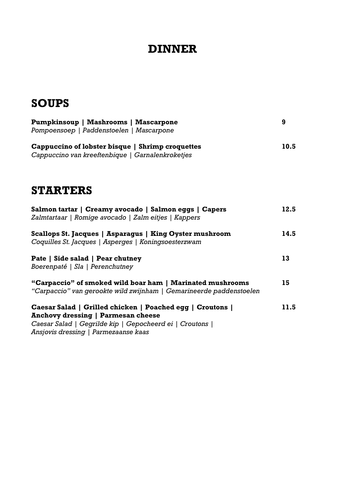## **DINNER**

# **SOUPS**

| <b>Pumpkinsoup   Mashrooms   Mascarpone</b><br>Pompoensoep   Paddenstoelen   Mascarpone                                                                                                                    | 9    |
|------------------------------------------------------------------------------------------------------------------------------------------------------------------------------------------------------------|------|
| Cappuccino of lobster bisque   Shrimp croquettes<br>Cappuccino van kreeftenbique   Garnalenkroketjes                                                                                                       | 10.5 |
| <b>STARTERS</b>                                                                                                                                                                                            |      |
| Salmon tartar   Creamy avocado   Salmon eggs   Capers<br>Zalmtartaar   Romige avocado   Zalm eitjes   Kappers                                                                                              | 12.5 |
| Scallops St. Jacques   Asparagus   King Oyster mushroom<br>Coquilles St. Jacques   Asperges   Koningsoesterzwam                                                                                            | 14.5 |
| Pate   Side salad   Pear chutney<br>Boerenpaté   Sla   Perenchutney                                                                                                                                        |      |
| "Carpaccio" of smoked wild boar ham   Marinated mushrooms<br>"Carpaccio" van gerookte wild zwijnham   Gemarineerde paddenstoelen                                                                           | 15   |
| Caesar Salad   Grilled chicken   Poached egg   Croutons  <br><b>Anchovy dressing   Parmesan cheese</b><br>Caesar Salad   Gegrilde kip   Gepocheerd ei   Croutons  <br>Ansjovis dressing   Parmezaanse kaas | 11.5 |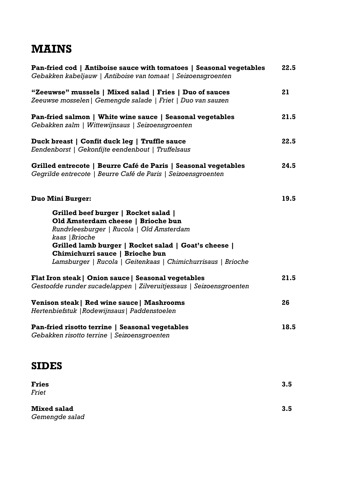## **MAINS**

| Pan-fried cod   Antiboise sauce with tomatoes   Seasonal vegetables<br>Gebakken kabeljauw   Antiboise van tomaat   Seizoensgroenten                                                                                                                                                                 |      |  |
|-----------------------------------------------------------------------------------------------------------------------------------------------------------------------------------------------------------------------------------------------------------------------------------------------------|------|--|
| "Zeeuwse" mussels   Mixed salad   Fries   Duo of sauces<br>Zeeuwse mosselen   Gemengde salade   Friet   Duo van sauzen                                                                                                                                                                              | 21   |  |
| Pan-fried salmon   White wine sauce   Seasonal vegetables<br>Gebakken zalm   Wittewijnsaus   Seizoensgroenten                                                                                                                                                                                       | 21.5 |  |
| Duck breast   Confit duck leg   Truffle sauce<br>Eendenborst   Gekonfijte eendenbout   Truffelsaus                                                                                                                                                                                                  | 22.5 |  |
| Grilled entrecote   Beurre Café de Paris   Seasonal vegetables<br>Gegrilde entrecote   Beurre Café de Paris   Seizoensgroenten                                                                                                                                                                      | 24.5 |  |
| <b>Duo Mini Burger:</b>                                                                                                                                                                                                                                                                             | 19.5 |  |
| Grilled beef burger   Rocket salad  <br>Old Amsterdam cheese   Brioche bun<br>Rundvleesburger   Rucola   Old Amsterdam<br>kaas   Brioche<br>Grilled lamb burger   Rocket salad   Goat's cheese  <br>Chimichurri sauce   Brioche bun<br>Lamsburger   Rucola   Geitenkaas   Chimichurrisaus   Brioche |      |  |
| Flat Iron steak   Onion sauce   Seasonal vegetables<br>Gestoofde runder sucadelappen   Zilveruitjessaus   Seizoensgroenten                                                                                                                                                                          | 21.5 |  |
| Venison steak   Red wine sauce   Mashrooms<br>Hertenbiefstuk   Rodewijnsaus   Paddenstoelen                                                                                                                                                                                                         | 26   |  |
| Pan-fried risotto terrine   Seasonal vegetables<br>Gebakken risotto terrine   Seizoensgroenten                                                                                                                                                                                                      | 18.5 |  |

#### **SIDES**

| <b>Fries</b>       | 3.5 |
|--------------------|-----|
| <b>Friet</b>       |     |
| <b>Mixed salad</b> | 3.5 |
| Gemengde salad     |     |